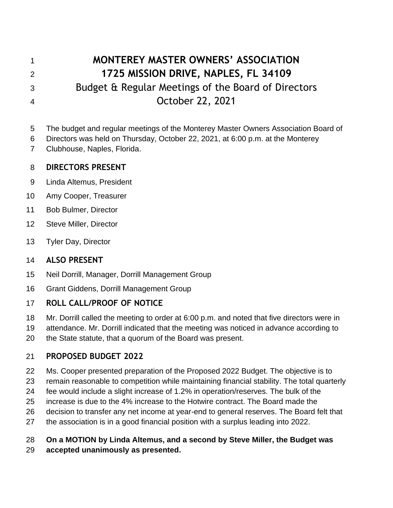# **MONTEREY MASTER OWNERS' ASSOCIATION 1725 MISSION DRIVE, NAPLES, FL 34109** Budget & Regular Meetings of the Board of Directors October 22, 2021

The budget and regular meetings of the Monterey Master Owners Association Board of

- Directors was held on Thursday, October 22, 2021, at 6:00 p.m. at the Monterey
- Clubhouse, Naples, Florida.

#### **DIRECTORS PRESENT**

- Linda Altemus, President
- Amy Cooper, Treasurer
- Bob Bulmer, Director
- Steve Miller, Director
- Tyler Day, Director

#### **ALSO PRESENT**

- Neil Dorrill, Manager, Dorrill Management Group
- Grant Giddens, Dorrill Management Group

## **ROLL CALL/PROOF OF NOTICE**

- Mr. Dorrill called the meeting to order at 6:00 p.m. and noted that five directors were in
- attendance. Mr. Dorrill indicated that the meeting was noticed in advance according to
- the State statute, that a quorum of the Board was present.

## **PROPOSED BUDGET 2022**

- Ms. Cooper presented preparation of the Proposed 2022 Budget. The objective is to
- remain reasonable to competition while maintaining financial stability. The total quarterly
- fee would include a slight increase of 1.2% in operation/reserves. The bulk of the
- increase is due to the 4% increase to the Hotwire contract. The Board made the
- decision to transfer any net income at year-end to general reserves. The Board felt that
- the association is in a good financial position with a surplus leading into 2022.

## **On a MOTION by Linda Altemus, and a second by Steve Miller, the Budget was**

**accepted unanimously as presented.**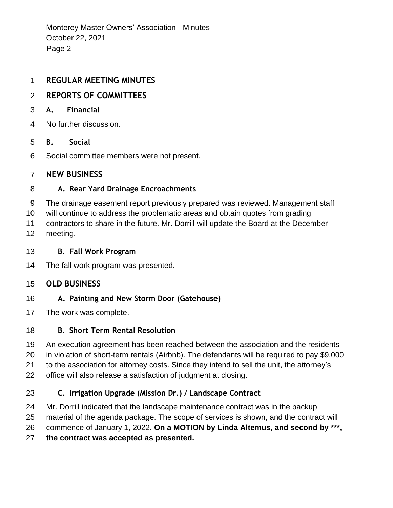Monterey Master Owners' Association - Minutes October 22, 2021 Page 2

#### **REGULAR MEETING MINUTES**

### **REPORTS OF COMMITTEES**

- **A. Financial**
- No further discussion.

#### **B. Social**

Social committee members were not present.

#### **NEW BUSINESS**

#### **A. Rear Yard Drainage Encroachments**

The drainage easement report previously prepared was reviewed. Management staff

will continue to address the problematic areas and obtain quotes from grading

 contractors to share in the future. Mr. Dorrill will update the Board at the December meeting.

#### **B. Fall Work Program**

The fall work program was presented.

#### **OLD BUSINESS**

#### **A. Painting and New Storm Door (Gatehouse)**

The work was complete.

#### **B. Short Term Rental Resolution**

An execution agreement has been reached between the association and the residents

in violation of short-term rentals (Airbnb). The defendants will be required to pay \$9,000

to the association for attorney costs. Since they intend to sell the unit, the attorney's

office will also release a satisfaction of judgment at closing.

## **C. Irrigation Upgrade (Mission Dr.) / Landscape Contract**

Mr. Dorrill indicated that the landscape maintenance contract was in the backup

material of the agenda package. The scope of services is shown, and the contract will

commence of January 1, 2022. **On a MOTION by Linda Altemus, and second by \*\*\*,** 

**the contract was accepted as presented.**